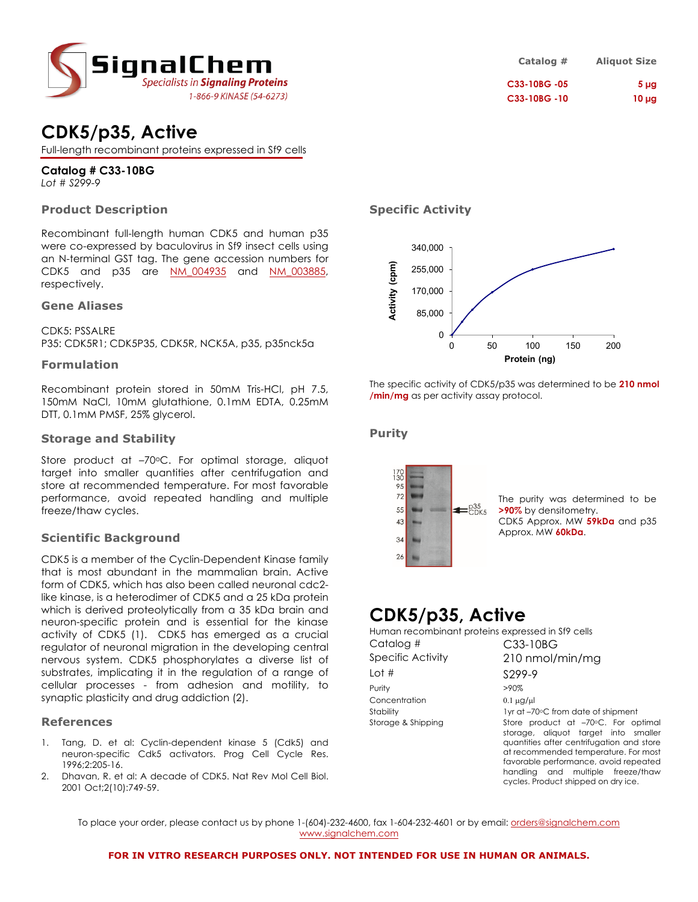

# **CDK5/p35, Active**

Full-length recombinant proteins expressed in Sf9 cells

### **Catalog # C33-10BG** *Lot # S299-9*

### **Product Description**

Recombinant full-length human CDK5 and human p35 were co-expressed by baculovirus in Sf9 insect cells using an N-terminal GST tag. The gene accession numbers for CDK5 and p35 are [NM\\_004935](http://www.ncbi.nlm.nih.gov/entrez/query.fcgi?db=gene&cmd=Retrieve&dopt=full_report&list_uids=1020) and [NM\\_003885](http://www.ncbi.nlm.nih.gov/entrez/query.fcgi?db=gene&cmd=Retrieve&dopt=full_report&list_uids=8851), respectively.

### **Gene Aliases**

CDK5: PSSALRE P35: CDK5R1; CDK5P35, CDK5R, NCK5A, p35, p35nck5a

### **Formulation**

Recombinant protein stored in 50mM Tris-HCl, pH 7.5, 150mM NaCl, 10mM glutathione, 0.1mM EDTA, 0.25mM DTT, 0.1mM PMSF, 25% glycerol.

### **Storage and Stability**

Store product at -70°C. For optimal storage, aliquot target into smaller quantities after centrifugation and store at recommended temperature. For most favorable performance, avoid repeated handling and multiple freeze/thaw cycles.

### **Scientific Background**

CDK5 is a member of the Cyclin-Dependent Kinase family that is most abundant in the mammalian brain. Active form of CDK5, which has also been called neuronal cdc2 like kinase, is a heterodimer of CDK5 and a 25 kDa protein which is derived proteolytically from a 35 kDa brain and neuron-specific protein and is essential for the kinase activity of CDK5 (1). CDK5 has emerged as a crucial regulator of neuronal migration in the developing central nervous system. CDK5 phosphorylates a diverse list of substrates, implicating it in the regulation of a range of cellular processes - from adhesion and motility, to synaptic plasticity and drug addiction (2).

### **References**

- 1. Tang, D. et al: Cyclin-dependent kinase 5 (Cdk5) and neuron-specific Cdk5 activators. Prog Cell Cycle Res. 1996;2:205-16.
- 2. Dhavan, R. et al: A decade of CDK5. Nat Rev Mol Cell Biol. 2001 Oct;2(10):749-59.

### **Specific Activity**



The specific activity of CDK5/p35 was determined to be **210 nmol /min/mg** as per activity assay protocol.

### **Purity**



## **CDK5/p35, Active**

| Human recombinant proteins expressed in Sf9 cells |                                                                                                                                                                                                                                                |
|---------------------------------------------------|------------------------------------------------------------------------------------------------------------------------------------------------------------------------------------------------------------------------------------------------|
| Catalog #                                         | C33-10BG                                                                                                                                                                                                                                       |
| Specific Activity                                 | 210 nmol/min/mg                                                                                                                                                                                                                                |
| Lot $#$                                           | S <sub>299-9</sub>                                                                                                                                                                                                                             |
| Purity                                            | $>90\%$                                                                                                                                                                                                                                        |
| Concentration                                     | $0.1 \mu$ g/ $\mu$                                                                                                                                                                                                                             |
| Stability                                         | 1yr at -70°C from date of shipment                                                                                                                                                                                                             |
| Storage & Shipping                                | Store product at -70°C. For optimal<br>storage, aliquot target into smaller<br>quantities after centrifugation and store<br>at recommended temperature. For most<br>favorable performance, avoid repeated<br>handling and multiple freeze/thaw |

cycles. Product shipped on dry ice.

To place your order, please contact us by phone 1-(604)-232-4600, fax 1-604-232-4601 or by email: [orders@signalchem.com](mailto:orders@signalchem.com) [www.signalchem.com](http://www.signalchem.com/)

### **Catalog # Aliquot Size C33-10BG -05 5 µg C33-10BG -10 10 µg**